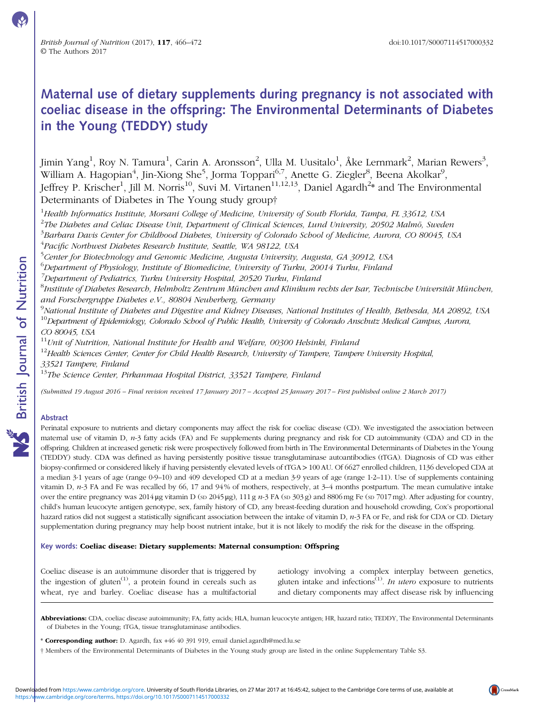# Maternal use of dietary supplements during pregnancy is not associated with coeliac disease in the offspring: The Environmental Determinants of Diabetes in the Young (TEDDY) study

Jimin Yang $^1$ , Roy N. Tamura $^1$ , Carin A. Aronsson $^2$ , Ulla M. Uusitalo $^1$ , Åke Lernmark $^2$ , Marian Rewers $^3,$ William A. Hagopian<sup>4</sup>, Jin-Xiong She<sup>5</sup>, Jorma Toppari<sup>6,7</sup>, Anette G. Ziegler<sup>8</sup>, Beena Akolkar<sup>9</sup>, Jeffrey P. Krischer<sup>1</sup>, Jill M. Norris<sup>10</sup>, Suvi M. Virtanen<sup>11,12,13</sup>, Daniel Agardh<sup>2</sup>\* and The Environmental Determinants of Diabetes in The Young study group†

 $^1$ Health Informatics Institute, Morsani College of Medicine, University of South Florida, Tampa, FL 33612, USA  $^{2}$ The Diabetes and Celiac Disease Unit, Department of Clinical Sciences, Lund University, 20502 Malmö, Sweden <sup>3</sup>Barbara Davis Center for Childhood Diabetes, University of Colorado School of Medicine, Aurora, CO 80045, USA

<sup>4</sup>Pacific Northwest Diabetes Research Institute, Seattle, WA 98122, USA

<sup>5</sup>Center for Biotechnology and Genomic Medicine, Augusta University, Augusta, GA 30912, USA

 $^6$ Department of Physiology, Institute of Biomedicine, University of Turku, 20014 Turku, Finlana

<sup>7</sup>Department of Pediatrics, Turku University Hospital, 20520 Turku, Finland

 $^8$ Institute of Diabetes Research, Helmboltz Zentrum München and Klinikum rechts der Isar, Technische Universität München, and Forschergruppe Diabetes e.V., 80804 Neuherberg, Germany

<sup>9</sup>National Institute of Diabetes and Digestive and Kidney Diseases, National Institutes of Health, Bethesda, MA 20892, USA  $^{10}$ Department of Epidemiology, Colorado School of Public Health, University of Colorado Anschutz Medical Campus, Aurora, CO 80045, USA

 $11$ Unit of Nutrition, National Institute for Health and Welfare, 00300 Helsinki, Finland

 $12$ Health Sciences Center, Center for Child Health Research, University of Tampere, Tampere University Hospital,

33521 Tampere, Finland

 $13$ The Science Center, Pirkanmaa Hospital District, 33521 Tampere, Finland

(Submitted 19 August 2016 – Final revision received 17 January 2017 – Accepted 25 January 2017 – First published online 2 March 2017)

### Abstract

Perinatal exposure to nutrients and dietary components may affect the risk for coeliac disease (CD). We investigated the association between maternal use of vitamin D,  $n-3$  fatty acids (FA) and Fe supplements during pregnancy and risk for CD autoimmunity (CDA) and CD in the offspring. Children at increased genetic risk were prospectively followed from birth in The Environmental Determinants of Diabetes in the Young (TEDDY) study. CDA was defined as having persistently positive tissue transglutaminase autoantibodies (tTGA). Diagnosis of CD was either biopsy-confirmed or considered likely if having persistently elevated levels of tTGA>100 AU. Of 6627 enrolled children, 1136 developed CDA at a median 3·1 years of age (range 0·9–10) and 409 developed CD at a median 3·9 years of age (range 1·2–11). Use of supplements containing vitamin D,  $n-3$  FA and Fe was recalled by 66, 17 and 94% of mothers, respectively, at  $3-4$  months postpartum. The mean cumulative intake over the entire pregnancy was  $2014 \,\mu$ g vitamin D (sp  $2045 \,\mu$ g), 111 g n-3 FA (sp  $303 \,\text{g}$ ) and 8806 mg Fe (sp  $7017 \,\text{mg}$ ). After adjusting for country, child's human leucocyte antigen genotype, sex, family history of CD, any breast-feeding duration and household crowding, Cox's proportional hazard ratios did not suggest a statistically significant association between the intake of vitamin D,  $n-3$  FA or Fe, and risk for CDA or CD. Dietary supplementation during pregnancy may help boost nutrient intake, but it is not likely to modify the risk for the disease in the offspring.

### Key words: Coeliac disease: Dietary supplements: Maternal consumption: Offspring

Coeliac disease is an autoimmune disorder that is triggered by the ingestion of gluten<sup>[\(1](#page-5-0))</sup>, a protein found in cereals such as wheat, rye and barley. Coeliac disease has a multifactorial aetiology involving a complex interplay between genetics, gluten intake and infections<sup>([1](#page-5-0))</sup>. In utero exposure to nutrients and dietary components may affect disease risk by influencing

Abbreviations: CDA, coeliac disease autoimmunity; FA, fatty acids; HLA, human leucocyte antigen; HR, hazard ratio; TEDDY, The Environmental Determinants of Diabetes in the Young; tTGA, tissue transglutaminase antibodies.

\* Corresponding author: D. Agardh, fax +46 40 391 919, email [daniel.agardh@med.lu.se](mailto:daniel.agardh@med.lu.se)

† Members of the Environmental Determinants of Diabetes in the Young study group are listed in the online Supplementary Table S3.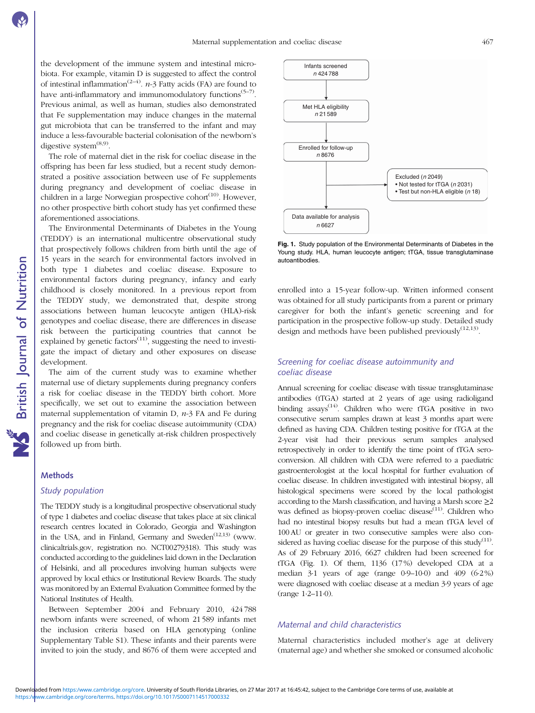the development of the immune system and intestinal microbiota. For example, vitamin D is suggested to affect the control of intestinal inflammation<sup>[\(2](#page-5-0)–[4](#page-5-0))</sup>. *n*-3 Fatty acids (FA) are found to have anti-inflammatory and immunomodulatory functions<sup> $(5-7)$  $(5-7)$  $(5-7)$  $(5-7)$ </sup>. Previous animal, as well as human, studies also demonstrated that Fe supplementation may induce changes in the maternal gut microbiota that can be transferred to the infant and may induce a less-favourable bacterial colonisation of the newborn's digestive system<sup>([8](#page-6-0),[9](#page-6-0))</sup>.

The role of maternal diet in the risk for coeliac disease in the offspring has been far less studied, but a recent study demonstrated a positive association between use of Fe supplements during pregnancy and development of coeliac disease in children in a large Norwegian prospective cohort $(10)$  $(10)$ . However, no other prospective birth cohort study has yet confirmed these aforementioned associations.

The Environmental Determinants of Diabetes in the Young (TEDDY) is an international multicentre observational study that prospectively follows children from birth until the age of 15 years in the search for environmental factors involved in both type 1 diabetes and coeliac disease. Exposure to environmental factors during pregnancy, infancy and early childhood is closely monitored. In a previous report from the TEDDY study, we demonstrated that, despite strong associations between human leucocyte antigen (HLA)-risk genotypes and coeliac disease, there are differences in disease risk between the participating countries that cannot be explained by genetic factors $(11)$ , suggesting the need to investigate the impact of dietary and other exposures on disease development.

The aim of the current study was to examine whether maternal use of dietary supplements during pregnancy confers a risk for coeliac disease in the TEDDY birth cohort. More specifically, we set out to examine the association between maternal supplementation of vitamin D,  $n-3$  FA and Fe during pregnancy and the risk for coeliac disease autoimmunity (CDA) and coeliac disease in genetically at-risk children prospectively followed up from birth.

## **Methods**

## Study population

The TEDDY study is a longitudinal prospective observational study of type 1 diabetes and coeliac disease that takes place at six clinical research centres located in Colorado, Georgia and Washington in the USA, and in Finland, Germany and Sweden<sup> $(12,13)$  $(12,13)$  $(12,13)$ </sup> [\(www.](www.clinicaltrials.gov) [clinicaltrials.gov,](www.clinicaltrials.gov) registration no. NCT00279318). This study was conducted according to the guidelines laid down in the Declaration of Helsinki, and all procedures involving human subjects were approved by local ethics or Institutional Review Boards. The study was monitored by an External Evaluation Committee formed by the National Institutes of Health.

Between September 2004 and February 2010, 424 788 newborn infants were screened, of whom 21 589 infants met the inclusion criteria based on HLA genotyping (online Supplementary Table S1). These infants and their parents were invited to join the study, and 8676 of them were accepted and



Fig. 1. Study population of the Environmental Determinants of Diabetes in the Young study. HLA, human leucocyte antigen; tTGA, tissue transglutaminase autoantibodies.

enrolled into a 15-year follow-up. Written informed consent was obtained for all study participants from a parent or primary caregiver for both the infant's genetic screening and for participation in the prospective follow-up study. Detailed study design and methods have been published previously $(12,13)$  $(12,13)$ .

## Screening for coeliac disease autoimmunity and coeliac disease

Annual screening for coeliac disease with tissue transglutaminase antibodies (tTGA) started at 2 years of age using radioligand binding assays<sup>[\(14\)](#page-6-0)</sup>. Children who were tTGA positive in two consecutive serum samples drawn at least 3 months apart were defined as having CDA. Children testing positive for tTGA at the 2-year visit had their previous serum samples analysed retrospectively in order to identify the time point of tTGA seroconversion. All children with CDA were referred to a paediatric gastroenterologist at the local hospital for further evaluation of coeliac disease. In children investigated with intestinal biopsy, all histological specimens were scored by the local pathologist according to the Marsh classification, and having a Marsh score  $\geq$ 2 was defined as biopsy-proven coeliac disease<sup>[\(11](#page-6-0))</sup>. Children who had no intestinal biopsy results but had a mean tTGA level of 100 AU or greater in two consecutive samples were also considered as having coeliac disease for the purpose of this study $(11)$  $(11)$ . As of 29 February 2016, 6627 children had been screened for tTGA (Fig. 1). Of them,  $1136$  ( $17\%$ ) developed CDA at a median 3·1 years of age (range 0·9–10·0) and 409 (6·2 %) were diagnosed with coeliac disease at a median 3·9 years of age (range 1·2–11·0).

## Maternal and child characteristics

Maternal characteristics included mother's age at delivery (maternal age) and whether she smoked or consumed alcoholic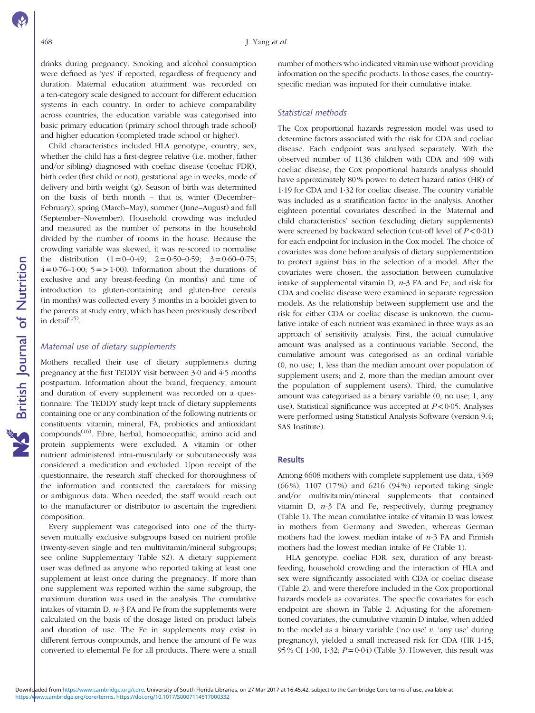drinks during pregnancy. Smoking and alcohol consumption were defined as 'yes' if reported, regardless of frequency and duration. Maternal education attainment was recorded on a ten-category scale designed to account for different education systems in each country. In order to achieve comparability across countries, the education variable was categorised into basic primary education (primary school through trade school) and higher education (completed trade school or higher).

Child characteristics included HLA genotype, country, sex, whether the child has a first-degree relative (i.e. mother, father and/or sibling) diagnosed with coeliac disease (coeliac FDR), birth order (first child or not), gestational age in weeks, mode of delivery and birth weight (g). Season of birth was determined on the basis of birth month – that is, winter (December– February), spring (March–May), summer (June–August) and fall (September–November). Household crowding was included and measured as the number of persons in the household divided by the number of rooms in the house. Because the crowding variable was skewed, it was re-scored to normalise the distribution  $(1 = 0 - 0.49; 2 = 0.50 - 0.59; 3 = 0.60 - 0.75;$  $4=0.76-1.00$ ;  $5=1.00$ ). Information about the durations of exclusive and any breast-feeding (in months) and time of introduction to gluten-containing and gluten-free cereals (in months) was collected every 3 months in a booklet given to the parents at study entry, which has been previously described in detail $(15)$  $(15)$  $(15)$ .

## Maternal use of dietary supplements

Mothers recalled their use of dietary supplements during pregnancy at the first TEDDY visit between 3·0 and 4·5 months postpartum. Information about the brand, frequency, amount and duration of every supplement was recorded on a questionnaire. The TEDDY study kept track of dietary supplements containing one or any combination of the following nutrients or constituents: vitamin, mineral, FA, probiotics and antioxidant compounds<sup>([16](#page-6-0))</sup>. Fibre, herbal, homoeopathic, amino acid and protein supplements were excluded. A vitamin or other nutrient administered intra-muscularly or subcutaneously was considered a medication and excluded. Upon receipt of the questionnaire, the research staff checked for thoroughness of the information and contacted the caretakers for missing or ambiguous data. When needed, the staff would reach out to the manufacturer or distributor to ascertain the ingredient composition.

Every supplement was categorised into one of the thirtyseven mutually exclusive subgroups based on nutrient profile (twenty-seven single and ten multivitamin/mineral subgroups; see online Supplementary Table S2). A dietary supplement user was defined as anyone who reported taking at least one supplement at least once during the pregnancy. If more than one supplement was reported within the same subgroup, the maximum duration was used in the analysis. The cumulative intakes of vitamin D,  $n-3$  FA and Fe from the supplements were calculated on the basis of the dosage listed on product labels and duration of use. The Fe in supplements may exist in different ferrous compounds, and hence the amount of Fe was converted to elemental Fe for all products. There were a small

number of mothers who indicated vitamin use without providing information on the specific products. In those cases, the countryspecific median was imputed for their cumulative intake.

## Statistical methods

The Cox proportional hazards regression model was used to determine factors associated with the risk for CDA and coeliac disease. Each endpoint was analysed separately. With the observed number of 1136 children with CDA and 409 with coeliac disease, the Cox proportional hazards analysis should have approximately 80% power to detect hazard ratios (HR) of 1·19 for CDA and 1·32 for coeliac disease. The country variable was included as a stratification factor in the analysis. Another eighteen potential covariates described in the 'Maternal and child characteristics' section (excluding dietary supplements) were screened by backward selection (cut-off level of  $P < 0.01$ ) for each endpoint for inclusion in the Cox model. The choice of covariates was done before analysis of dietary supplementation to protect against bias in the selection of a model. After the covariates were chosen, the association between cumulative intake of supplemental vitamin D,  $n-3$  FA and Fe, and risk for CDA and coeliac disease were examined in separate regression models. As the relationship between supplement use and the risk for either CDA or coeliac disease is unknown, the cumulative intake of each nutrient was examined in three ways as an approach of sensitivity analysis. First, the actual cumulative amount was analysed as a continuous variable. Second, the cumulative amount was categorised as an ordinal variable (0, no use; 1, less than the median amount over population of supplement users; and 2, more than the median amount over the population of supplement users). Third, the cumulative amount was categorised as a binary variable (0, no use; 1, any use). Statistical significance was accepted at  $P < 0.05$ . Analyses were performed using Statistical Analysis Software (version 9.4; SAS Institute).

## **Results**

Among 6608 mothers with complete supplement use data, 4369 (66 %), 1107 (17 %) and 6216 (94 %) reported taking single and/or multivitamin/mineral supplements that contained vitamin D,  $n-3$  FA and Fe, respectively, during pregnancy [\(Table 1\)](#page-3-0). The mean cumulative intake of vitamin D was lowest in mothers from Germany and Sweden, whereas German mothers had the lowest median intake of  $n-3$  FA and Finnish mothers had the lowest median intake of Fe ([Table 1](#page-3-0)).

HLA genotype, coeliac FDR, sex, duration of any breastfeeding, household crowding and the interaction of HLA and sex were significantly associated with CDA or coeliac disease [\(Table 2\)](#page-3-0), and were therefore included in the Cox proportional hazards models as covariates. The specific covariates for each endpoint are shown in [Table 2](#page-3-0). Adjusting for the aforementioned covariates, the cumulative vitamin D intake, when added to the model as a binary variable ('no use'  $v$ . 'any use' during pregnancy), yielded a small increased risk for CDA (HR 1·15; 95 % CI 1·00, 1·32; P=0·04) ([Table 3\)](#page-4-0). However, this result was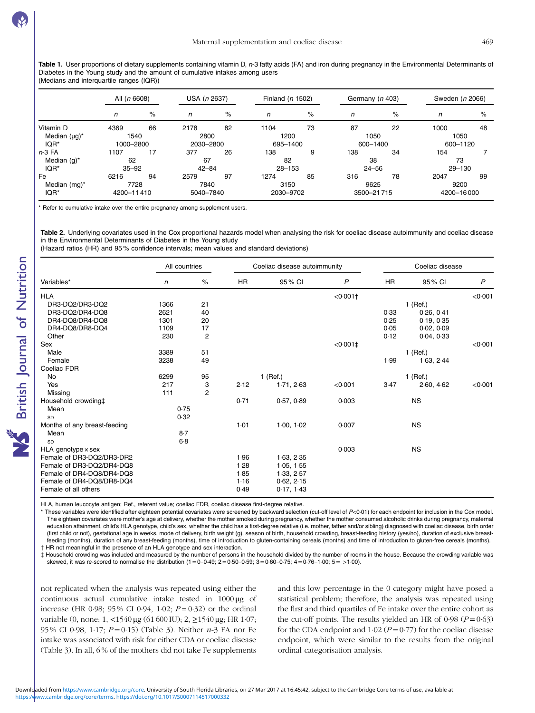<span id="page-3-0"></span>Table 1. User proportions of dietary supplements containing vitamin D, n-3 fatty acids (FA) and iron during pregnancy in the Environmental Determinants of Diabetes in the Young study and the amount of cumulative intakes among users (Medians and interquartile ranges (IQR))

|                    | All (n 6608) |    | USA (n 2637) |    | Finland $(n 1502)$ |      | Germany (n 403) |    | Sweden (n 2066) |      |
|--------------------|--------------|----|--------------|----|--------------------|------|-----------------|----|-----------------|------|
|                    | n            | %  | n            | %  | n                  | $\%$ | n               | %  | n               | $\%$ |
| Vitamin D          | 4369         | 66 | 2178         | 82 | 1104               | 73   | 87              | 22 | 1000            | 48   |
| Median $(\mu g)^*$ | 1540         |    | 2800         |    | 1200               |      | 1050            |    | 1050            |      |
| IQR*               | 1000-2800    |    | 2030-2800    |    | 695-1400           |      | 600-1400        |    | 600-1120        |      |
| $n-3$ FA           | 1107         | 17 | 377          | 26 | 138                | 9    | 138             | 34 | 154             |      |
| Median $(q)^*$     | 62           |    | 67           |    | 82                 |      | 38              |    | 73              |      |
| IQR*               | $35 - 92$    |    | $42 - 84$    |    | $28 - 153$         |      | $24 - 56$       |    | $29 - 130$      |      |
| Fe                 | 6216         | 94 | 2579         | 97 | 1274               | 85   | 316             | 78 | 2047            | 99   |
| Median (mg)*       | 7728         |    | 7840         |    | 3150               |      | 9625            |    | 9200            |      |
| IQR*               | 4200-11410   |    | 5040-7840    |    | 2030-9702          |      | 3500-21715      |    | 4200-16000      |      |

\* Refer to cumulative intake over the entire pregnancy among supplement users.

Table 2. Underlying covariates used in the Cox proportional hazards model when analysing the risk for coeliac disease autoimmunity and coeliac disease in the Environmental Determinants of Diabetes in the Young study (Hazard ratios (HR) and 95 % confidence intervals; mean values and standard deviations)

All countries Coeliac disease autoimmunity Coeliac disease

| Variables*                   | n     | $\%$           | <b>HR</b>  | 95% CI     | $\mathsf{P}$           | <b>HR</b> | 95% CI     | P       |
|------------------------------|-------|----------------|------------|------------|------------------------|-----------|------------|---------|
| <b>HLA</b>                   |       |                |            |            | $< 0.001$ <sup>+</sup> |           |            | < 0.001 |
| DR3-DQ2/DR3-DQ2              | 1366  | 21             |            |            |                        |           | $1$ (Ref.) |         |
| DR3-DQ2/DR4-DQ8              | 2621  | 40             |            |            |                        | 0.33      | 0.26, 0.41 |         |
| DR4-DQ8/DR4-DQ8              | 1301  | 20             |            |            |                        | 0.25      | 0.19, 0.35 |         |
| DR4-DQ8/DR8-DQ4              | 1109  | 17             |            |            |                        | 0.05      | 0.02, 0.09 |         |
| Other                        | 230   | $\overline{c}$ |            |            |                        | 0.12      | 0.04, 0.33 |         |
| Sex                          |       |                |            |            | $< 0.001 \pm 1.0001$   |           |            | < 0.001 |
| Male                         | 3389  | 51             |            |            |                        |           | $1$ (Ref.) |         |
| Female                       | 3238  | 49             |            |            |                        | 1.99      | 1.63, 2.44 |         |
| Coeliac FDR                  |       |                |            |            |                        |           |            |         |
| No                           | 6299  | 95             |            | $1$ (Ref.) |                        |           | 1 (Ref.)   |         |
| Yes                          | 217   | 3              | 2.12       | 1.71, 2.63 | < 0.001                | 3.47      | 2.60, 4.62 | < 0.001 |
| Missing                      | 111   | $\overline{2}$ |            |            |                        |           |            |         |
| Household crowding‡          |       |                | 0.71       | 0.57, 0.89 | 0.003                  |           | <b>NS</b>  |         |
| Mean                         | 0.75  |                |            |            |                        |           |            |         |
| SD                           | 0.32  |                |            |            |                        |           |            |         |
| Months of any breast-feeding |       |                | 1.01       | 1.00, 1.02 | 0.007                  |           | <b>NS</b>  |         |
| Mean                         | $8-7$ |                |            |            |                        |           |            |         |
| SD                           | $6-8$ |                |            |            |                        |           |            |         |
| HLA genotype $\times$ sex    |       |                |            |            | 0.003                  |           | <b>NS</b>  |         |
| Female of DR3-DQ2/DR3-DR2    |       |                | 1.96       | 1.63, 2.35 |                        |           |            |         |
| Female of DR3-DQ2/DR4-DQ8    |       | 1.28           | 1.05, 1.55 |            |                        |           |            |         |
| Female of DR4-DQ8/DR4-DQ8    |       | 1.85           | 1.33, 2.57 |            |                        |           |            |         |
| Female of DR4-DQ8/DR8-DQ4    |       | 1.16           | 0.62, 2.15 |            |                        |           |            |         |
| Female of all others         |       |                | 0.49       | 0.17, 1.43 |                        |           |            |         |
|                              |       |                |            |            |                        |           |            |         |

HLA, human leucocyte antigen; Ref., referent value; coeliac FDR, coeliac disease first-degree relative.

These variables were identified after eighteen potential covariates were screened by backward selection (cut-off level of P<0.01) for each endpoint for inclusion in the Cox model. The eighteen covariates were mother's age at delivery, whether the mother smoked during pregnancy, whether the mother consumed alcoholic drinks during pregnancy, maternal education attainment, child's HLA genotype, child's sex, whether the child has a first-degree relative (i.e. mother, father and/or sibling) diagnosed with coeliac disease, birth order (first child or not), gestational age in weeks, mode of delivery, birth weight (g), season of birth, household crowding, breast-feeding history (yes/no), duration of exclusive breastfeeding (months), duration of any breast-feeding (months), time of introduction to gluten-containing cereals (months) and time of introduction to gluten-free cereals (months). † HR not meaningful in the presence of an HLA genotype and sex interaction.

‡ Household crowding was included and measured by the number of persons in the household divided by the number of rooms in the house. Because the crowding variable was skewed, it was re-scored to normalise the distribution  $(1 = 0 - 0.49; 2 = 0.50 - 0.59; 3 = 0.60 - 0.75; 4 = 0.76 - 1.00; 5 = >1.00$ .

not replicated when the analysis was repeated using either the continuous actual cumulative intake tested in 1000 μg of increase (HR 0.98; 95% CI 0.94, 1.02;  $P = 0.32$ ) or the ordinal variable (0, none; 1, <1540 μg (61 600 IU); 2, ≥1540 μg; HR 1·07; 95 % CI 0·98, 1·17; P=0·15) [\(Table 3\)](#page-4-0). Neither n-3 FA nor Fe intake was associated with risk for either CDA or coeliac disease ([Table 3](#page-4-0)). In all, 6 % of the mothers did not take Fe supplements

and this low percentage in the 0 category might have posed a statistical problem; therefore, the analysis was repeated using the first and third quartiles of Fe intake over the entire cohort as the cut-off points. The results yielded an HR of  $0.98$  ( $P = 0.63$ ) for the CDA endpoint and  $1.02 (P=0.77)$  for the coeliac disease endpoint, which were similar to the results from the original ordinal categorisation analysis.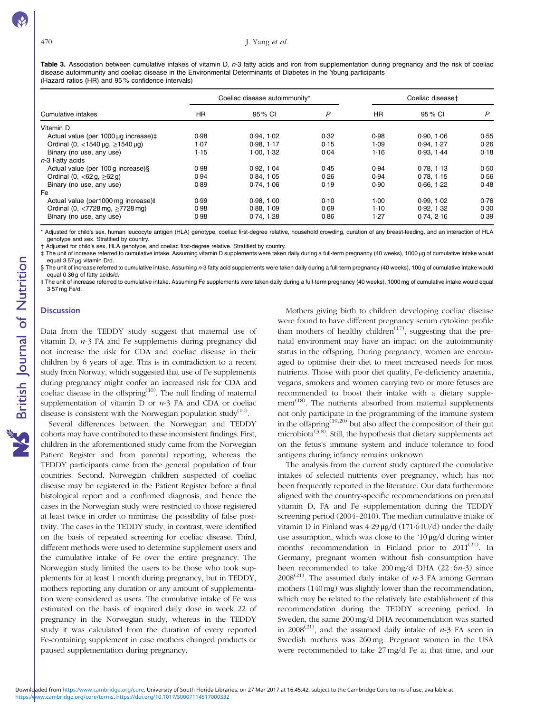#### <span id="page-4-0"></span> $470$  J. Yang *et al.*

Table 3. Association between cumulative intakes of vitamin D, n-3 fatty acids and iron from supplementation during pregnancy and the risk of coeliac disease autoimmunity and coeliac disease in the Environmental Determinants of Diabetes in the Young participants (Hazard ratios (HR) and 95 % confidence intervals)

|                                                                     |           | Coeliac disease autoimmunity* | Coeliac diseaset |        |            |      |
|---------------------------------------------------------------------|-----------|-------------------------------|------------------|--------|------------|------|
| Cumulative intakes                                                  | <b>HR</b> | 95 % CI                       | P                | HR.    | 95 % CI    | P    |
| Vitamin D                                                           |           |                               |                  |        |            |      |
| Actual value (per $1000 \mu$ g increase) $\ddagger$                 | 0.98      | 0.94.102                      | 0.32             | 0.98   | 0.90.106   | 0.55 |
| Ordinal (0, $<$ 1540 µg, $\ge$ 1540 µg)                             | 1.07      | 0.98.117                      | 0.15             | 1.09   | 0.94.127   | 0.26 |
| Binary (no use, any use)                                            | 1.15      | 1.00.132                      | 0.04             | 1.16   | 0.93.144   | 0.18 |
| $n-3$ Fatty acids                                                   |           |                               |                  |        |            |      |
| Actual value (per 100 g increase) §                                 | 0.98      | 0.92.104                      | 0.45             | 0.94   | 0.78, 1.13 | 0.50 |
| Ordinal (0, $<$ 62 g, $\geq$ 62 g)                                  | 0.94      | 0.84.105                      | 0.26             | 0.94   | 0.78.115   | 0.56 |
| Binary (no use, any use)                                            | 0.89      | 0.74, 1.06                    | 0.19             | 0.90   | 0.66, 1.22 | 0.48 |
| Fe                                                                  |           |                               |                  |        |            |      |
| Actual value (per1000 mg increase) II                               | 0.99      | 0.98, 1.00                    | 0.10             | $1-00$ | 0.99.102   | 0.76 |
| Ordinal (0, $\langle 7728 \text{ mg}, \geq 7728 \text{ mg} \rangle$ | 0.98      | 0.88, 1.09                    | 0.69             | $1-10$ | 0.92.132   | 0.30 |
| Binary (no use, any use)                                            | 0.98      | 0.74, 1.28                    | 0.86             | 1.27   | 0.74, 2.16 | 0.39 |

Adjusted for child's sex, human leucocyte antigen (HLA) genotype, coeliac first-degree relative, household crowding, duration of any breast-feeding, and an interaction of HLA genotype and sex. Stratified by country.

† Adjusted for child's sex, HLA genotype, and coeliac first-degree relative. Stratified by country.

‡ The unit of increase referred to cumulative intake. Assuming vitamin D supplements were taken daily during a full-term pregnancy (40 weeks), 1000 μg of cumulative intake would equal 3·57 μg vitamin D/d.

§ The unit of increase referred to cumulative intake. Assuming n-3 fatty acid supplements were taken daily during a full-term pregnancy (40 weeks), 100 g of cumulative intake would equal 0·36 g of fatty acids/d.

The unit of increase referred to cumulative intake. Assuming Fe supplements were taken daily during a full-term pregnancy (40 weeks), 1000 mg of cumulative intake would equal 3·57 mg Fe/d.

#### **Discussion**

Data from the TEDDY study suggest that maternal use of vitamin D,  $n-3$  FA and Fe supplements during pregnancy did not increase the risk for CDA and coeliac disease in their children by 6 years of age. This is in contradiction to a recent study from Norway, which suggested that use of Fe supplements during pregnancy might confer an increased risk for CDA and coeliac disease in the offspring<sup>[\(10](#page-6-0))</sup>. The null finding of maternal supplementation of vitamin  $D$  or  $n-3$  FA and CDA or coeliac disease is consistent with the Norwegian population study<sup>([10](#page-6-0))</sup>.

Several differences between the Norwegian and TEDDY cohorts may have contributed to these inconsistent findings. First, children in the aforementioned study came from the Norwegian Patient Register and from parental reporting, whereas the TEDDY participants came from the general population of four countries. Second, Norwegian children suspected of coeliac disease may be registered in the Patient Register before a final histological report and a confirmed diagnosis, and hence the cases in the Norwegian study were restricted to those registered at least twice in order to minimise the possibility of false positivity. The cases in the TEDDY study, in contrast, were identified on the basis of repeated screening for coeliac disease. Third, different methods were used to determine supplement users and the cumulative intake of Fe over the entire pregnancy. The Norwegian study limited the users to be those who took supplements for at least 1 month during pregnancy, but in TEDDY, mothers reporting any duration or any amount of supplementation were considered as users. The cumulative intake of Fe was estimated on the basis of inquired daily dose in week 22 of pregnancy in the Norwegian study, whereas in the TEDDY study it was calculated from the duration of every reported Fe-containing supplement in case mothers changed products or paused supplementation during pregnancy.

Mothers giving birth to children developing coeliac disease were found to have different pregnancy serum cytokine profile than mothers of healthy children<sup> $(17)$ </sup>, suggesting that the prenatal environment may have an impact on the autoimmunity status in the offspring. During pregnancy, women are encouraged to optimise their diet to meet increased needs for most nutrients. Those with poor diet quality, Fe-deficiency anaemia, vegans, smokers and women carrying two or more fetuses are recommended to boost their intake with a dietary supple-ment<sup>([18\)](#page-6-0)</sup>. The nutrients absorbed from maternal supplements not only participate in the programming of the immune system in the offspring $^{(19,20)}$  $^{(19,20)}$  $^{(19,20)}$  but also affect the composition of their gut microbiota<sup> $(3,8)$  $(3,8)$ </sup>. Still, the hypothesis that dietary supplements act on the fetus's immune system and induce tolerance to food antigens during infancy remains unknown.

The analysis from the current study captured the cumulative intakes of selected nutrients over pregnancy, which has not been frequently reported in the literature. Our data furthermore aligned with the country-specific recommendations on prenatal vitamin D, FA and Fe supplementation during the TEDDY screening period (2004–2010). The median cumulative intake of vitamin D in Finland was 4·29 μg/d (171·6 IU/d) under the daily use assumption, which was close to the '10 μg/d during winter months' recommendation in Finland prior to  $2011^{(21)}$  $2011^{(21)}$  $2011^{(21)}$ . In Germany, pregnant women without fish consumption have been recommended to take  $200 \,\text{mg/d}$  DHA  $(22:6n-3)$  since  $2008^{(21)}$  $2008^{(21)}$  $2008^{(21)}$ . The assumed daily intake of *n*-3 FA among German mothers (140 mg) was slightly lower than the recommendation, which may be related to the relatively late establishment of this recommendation during the TEDDY screening period. In Sweden, the same 200 mg/d DHA recommendation was started in 2008<sup>([21\)](#page-6-0)</sup>, and the assumed daily intake of  $n-3$  FA seen in Swedish mothers was 260 mg. Pregnant women in the USA were recommended to take 27 mg/d Fe at that time, and our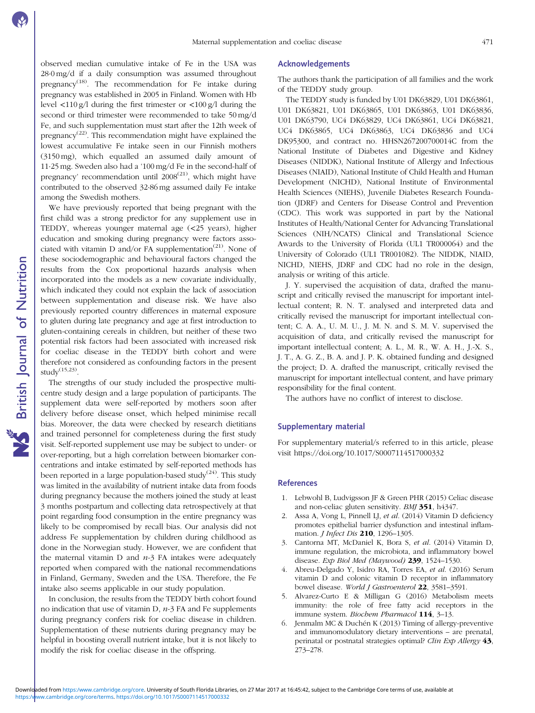<span id="page-5-0"></span>observed median cumulative intake of Fe in the USA was 28·0 mg/d if a daily consumption was assumed throughout pregnancy<sup>([18](#page-6-0))</sup>. The recommendation for Fe intake during pregnancy was established in 2005 in Finland. Women with Hb level  $\langle 110 \text{ g}/l$  during the first trimester or  $\langle 100 \text{ g}/l$  during the second or third trimester were recommended to take 50 mg/d Fe, and such supplementation must start after the 12th week of pregnancy<sup> $(22)$  $(22)$  $(22)$ </sup>. This recommendation might have explained the lowest accumulative Fe intake seen in our Finnish mothers (3150 mg), which equalled an assumed daily amount of 11·25 mg. Sweden also had a '100 mg/d Fe in the second-half of pregnancy' recommendation until  $2008^{(21)}$  $2008^{(21)}$  $2008^{(21)}$ , which might have contributed to the observed 32·86 mg assumed daily Fe intake among the Swedish mothers.

We have previously reported that being pregnant with the first child was a strong predictor for any supplement use in TEDDY, whereas younger maternal age (<25 years), higher education and smoking during pregnancy were factors asso-ciated with vitamin D and/or FA supplementation<sup>([21](#page-6-0))</sup>. None of these sociodemographic and behavioural factors changed the results from the Cox proportional hazards analysis when incorporated into the models as a new covariate individually, which indicated they could not explain the lack of association between supplementation and disease risk. We have also previously reported country differences in maternal exposure to gluten during late pregnancy and age at first introduction to gluten-containing cereals in children, but neither of these two potential risk factors had been associated with increased risk for coeliac disease in the TEDDY birth cohort and were therefore not considered as confounding factors in the present study $^{(15,23)}$  $^{(15,23)}$  $^{(15,23)}$ .

**NS** British Journal of Nutrition

The strengths of our study included the prospective multicentre study design and a large population of participants. The supplement data were self-reported by mothers soon after delivery before disease onset, which helped minimise recall bias. Moreover, the data were checked by research dietitians and trained personnel for completeness during the first study visit. Self-reported supplement use may be subject to under- or over-reporting, but a high correlation between biomarker concentrations and intake estimated by self-reported methods has been reported in a large population-based study<sup>[\(24](#page-6-0))</sup>. This study was limited in the availability of nutrient intake data from foods during pregnancy because the mothers joined the study at least 3 months postpartum and collecting data retrospectively at that point regarding food consumption in the entire pregnancy was likely to be compromised by recall bias. Our analysis did not address Fe supplementation by children during childhood as done in the Norwegian study. However, we are confident that the maternal vitamin D and  $n-3$  FA intakes were adequately reported when compared with the national recommendations in Finland, Germany, Sweden and the USA. Therefore, the Fe intake also seems applicable in our study population.

In conclusion, the results from the TEDDY birth cohort found no indication that use of vitamin D,  $n-3$  FA and Fe supplements during pregnancy confers risk for coeliac disease in children. Supplementation of these nutrients during pregnancy may be helpful in boosting overall nutrient intake, but it is not likely to modify the risk for coeliac disease in the offspring.

#### Acknowledgements

The authors thank the participation of all families and the work of the TEDDY study group.

The TEDDY study is funded by U01 DK63829, U01 DK63861, U01 DK63821, U01 DK63865, U01 DK63863, U01 DK63836, U01 DK63790, UC4 DK63829, UC4 DK63861, UC4 DK63821, UC4 DK63865, UC4 DK63863, UC4 DK63836 and UC4 DK95300, and contract no. HHSN267200700014C from the National Institute of Diabetes and Digestive and Kidney Diseases (NIDDK), National Institute of Allergy and Infectious Diseases (NIAID), National Institute of Child Health and Human Development (NICHD), National Institute of Environmental Health Sciences (NIEHS), Juvenile Diabetes Research Foundation (JDRF) and Centers for Disease Control and Prevention (CDC). This work was supported in part by the National Institutes of Health/National Center for Advancing Translational Sciences (NIH/NCATS) Clinical and Translational Science Awards to the University of Florida (UL1 TR000064) and the University of Colorado (UL1 TR001082). The NIDDK, NIAID, NICHD, NIEHS, JDRF and CDC had no role in the design, analysis or writing of this article.

J. Y. supervised the acquisition of data, drafted the manuscript and critically revised the manuscript for important intellectual content; R. N. T. analysed and interpreted data and critically revised the manuscript for important intellectual content; C. A. A., U. M. U., J. M. N. and S. M. V. supervised the acquisition of data, and critically revised the manuscript for important intellectual content; A. L., M. R., W. A. H., J.-X. S., J. T., A. G. Z., B. A. and J. P. K. obtained funding and designed the project; D. A. drafted the manuscript, critically revised the manuscript for important intellectual content, and have primary responsibility for the final content.

The authors have no conflict of interest to disclose.

#### Supplementary material

For supplementary material/s referred to in this article, please visit<https://doi.org/10.1017/S0007114517000332>

### References

- 1. Lebwohl B, Ludvigsson JF & Green PHR (2015) Celiac disease and non-celiac gluten sensitivity. BMJ 351, h4347.
- 2. Assa A, Vong L, Pinnell LJ, et al. (2014) Vitamin D deficiency promotes epithelial barrier dysfunction and intestinal inflammation. *J Infect Dis* 210, 1296-1305.
- 3. Cantorna MT, McDaniel K, Bora S, et al. (2014) Vitamin D, immune regulation, the microbiota, and inflammatory bowel disease. Exp Biol Med (Maywood) 239, 1524-1530.
- 4. Abreu-Delgado Y, Isidro RA, Torres EA, et al. (2016) Serum vitamin D and colonic vitamin D receptor in inflammatory bowel disease. World J Gastroenterol 22, 3581-3591.
- 5. Alvarez-Curto E & Milligan G (2016) Metabolism meets immunity: the role of free fatty acid receptors in the immune system. Biochem Pharmacol 114, 3-13.
- 6. Jenmalm MC & Duchén K (2013) Timing of allergy-preventive and immunomodulatory dietary interventions – are prenatal, perinatal or postnatal strategies optimal? Clin Exp Allergy 43, 273–278.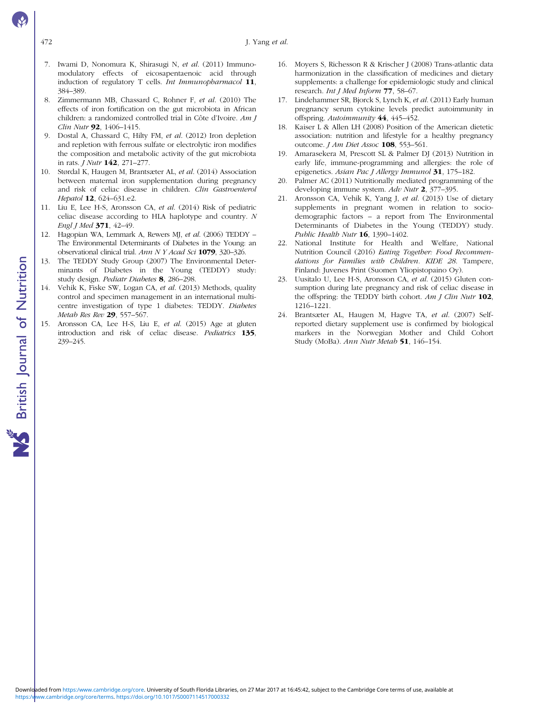<span id="page-6-0"></span> $472$  J. Yang et al.

- 7. Iwami D, Nonomura K, Shirasugi N, et al. (2011) Immunomodulatory effects of eicosapentaenoic acid through induction of regulatory T cells. Int Immunopharmacol 11, 384–389.
- 8. Zimmermann MB, Chassard C, Rohner F, et al. (2010) The effects of iron fortification on the gut microbiota in African children: a randomized controlled trial in Côte d'Ivoire. Am J Clin Nutr 92, 1406–1415.
- 9. Dostal A, Chassard C, Hilty FM, et al. (2012) Iron depletion and repletion with ferrous sulfate or electrolytic iron modifies the composition and metabolic activity of the gut microbiota in rats. J Nutr 142, 271–277.
- 10. Størdal K, Haugen M, Brantsæter AL, et al. (2014) Association between maternal iron supplementation during pregnancy and risk of celiac disease in children. Clin Gastroenterol Hepatol 12, 624-631.e2.
- 11. Liu E, Lee H-S, Aronsson CA, et al. (2014) Risk of pediatric celiac disease according to HLA haplotype and country. N Engl J Med 371, 42-49.
- 12. Hagopian WA, Lernmark A, Rewers MJ, et al. (2006) TEDDY The Environmental Determinants of Diabetes in the Young: an observational clinical trial. Ann N Y Acad Sci 1079, 320–326.
- The TEDDY Study Group (2007) The Environmental Determinants of Diabetes in the Young (TEDDY) study: study design. Pediatr Diabetes 8, 286–298.
- 14. Vehik K, Fiske SW, Logan CA, et al. (2013) Methods, quality control and specimen management in an international multicentre investigation of type 1 diabetes: TEDDY. Diabetes Metab Res Rev 29, 557–567.
- 15. Aronsson CA, Lee H-S, Liu E, et al. (2015) Age at gluten introduction and risk of celiac disease. Pediatrics 135, 239–245.
- 16. Moyers S, Richesson R & Krischer J (2008) Trans-atlantic data harmonization in the classification of medicines and dietary supplements: a challenge for epidemiologic study and clinical research. Int J Med Inform 77, 58–67.
- 17. Lindehammer SR, Bjorck S, Lynch K, et al. (2011) Early human pregnancy serum cytokine levels predict autoimmunity in offspring. Autoimmunity 44, 445–452.
- 18. Kaiser L & Allen LH (2008) Position of the American dietetic association: nutrition and lifestyle for a healthy pregnancy outcome. J Am Diet Assoc 108, 553-561.
- 19. Amarasekera M, Prescott SL & Palmer DJ (2013) Nutrition in early life, immune-programming and allergies: the role of epigenetics. Asian Pac J Allergy Immunol 31, 175–182.
- 20. Palmer AC (2011) Nutritionally mediated programming of the developing immune system. Adv Nutr 2, 377–395.
- 21. Aronsson CA, Vehik K, Yang J, et al. (2013) Use of dietary supplements in pregnant women in relation to sociodemographic factors – a report from The Environmental Determinants of Diabetes in the Young (TEDDY) study. Public Health Nutr 16, 1390–1402.
- 22. National Institute for Health and Welfare, National Nutrition Council (2016) Eating Together: Food Recommendations for Families with Children. KIDE 28. Tampere, Finland: Juvenes Print (Suomen Yliopistopaino Oy).
- 23. Uusitalo U, Lee H-S, Aronsson CA, et al. (2015) Gluten consumption during late pregnancy and risk of celiac disease in the offspring: the TEDDY birth cohort. Am J Clin Nutr 102, 1216–1221.
- 24. Brantsæter AL, Haugen M, Hagve TA, et al. (2007) Selfreported dietary supplement use is confirmed by biological markers in the Norwegian Mother and Child Cohort Study (MoBa). Ann Nutr Metab 51, 146–154.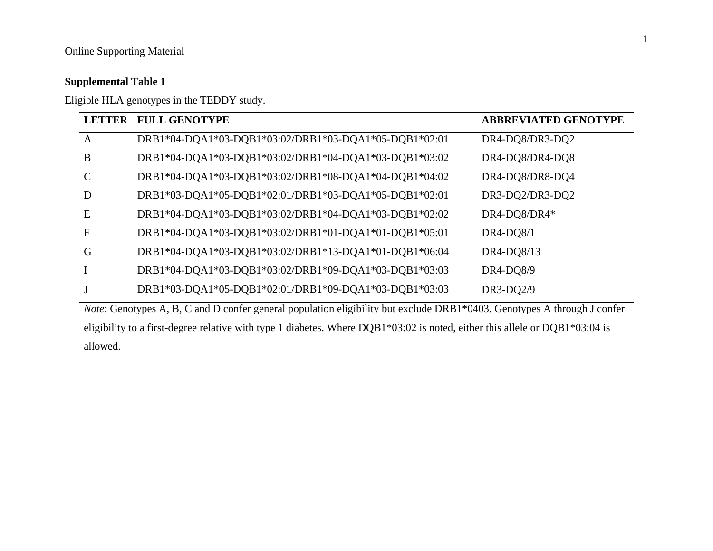## **Supplemental Table 1**

Eligible HLA genotypes in the TEDDY study.

| <b>LETTER</b> | <b>FULL GENOTYPE</b>                                  | <b>ABBREVIATED GENOTYPE</b> |
|---------------|-------------------------------------------------------|-----------------------------|
| $\mathbf{A}$  | DRB1*04-DQA1*03-DQB1*03:02/DRB1*03-DQA1*05-DQB1*02:01 | DR4-DQ8/DR3-DQ2             |
| B             | DRB1*04-DQA1*03-DQB1*03:02/DRB1*04-DQA1*03-DQB1*03:02 | DR4-DQ8/DR4-DQ8             |
| $\mathcal{C}$ | DRB1*04-DQA1*03-DQB1*03:02/DRB1*08-DQA1*04-DQB1*04:02 | DR4-DQ8/DR8-DQ4             |
| D             | DRB1*03-DQA1*05-DQB1*02:01/DRB1*03-DQA1*05-DQB1*02:01 | DR3-DQ2/DR3-DQ2             |
| E             | DRB1*04-DQA1*03-DQB1*03:02/DRB1*04-DQA1*03-DQB1*02:02 | DR4-DQ8/DR4*                |
| F             | DRB1*04-DQA1*03-DQB1*03:02/DRB1*01-DQA1*01-DQB1*05:01 | DR4-DQ8/1                   |
| G             | DRB1*04-DQA1*03-DQB1*03:02/DRB1*13-DQA1*01-DQB1*06:04 | DR4-DQ8/13                  |
|               | DRB1*04-DQA1*03-DQB1*03:02/DRB1*09-DQA1*03-DQB1*03:03 | DR4-DQ8/9                   |
|               | DRB1*03-DQA1*05-DQB1*02:01/DRB1*09-DQA1*03-DQB1*03:03 | DR3-DQ2/9                   |

*Note*: Genotypes A, B, C and D confer general population eligibility but exclude DRB1\*0403. Genotypes A through J confer eligibility to a first-degree relative with type 1 diabetes. Where DQB1\*03:02 is noted, either this allele or DQB1\*03:04 is allowed.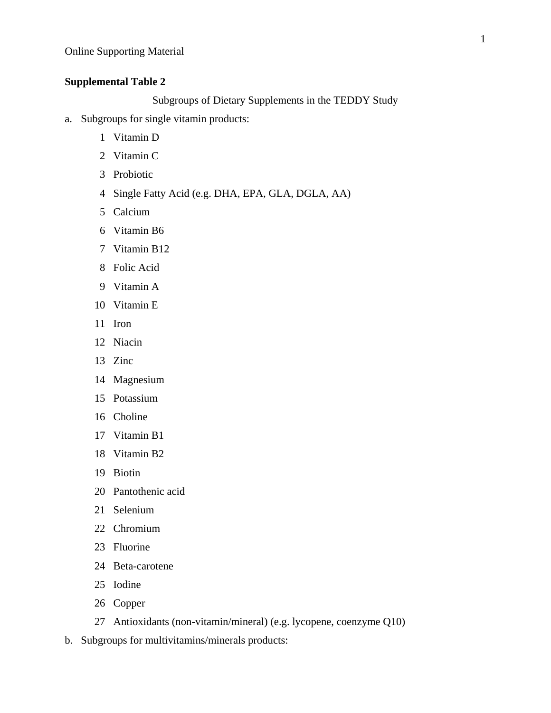## **Supplemental Table 2**

```
Subgroups of Dietary Supplements in the TEDDY Study
```
- a. Subgroups for single vitamin products:
	- Vitamin D
	- Vitamin C
	- Probiotic
	- Single Fatty Acid (e.g. DHA, EPA, GLA, DGLA, AA)
	- Calcium
	- Vitamin B6
	- Vitamin B12
	- Folic Acid
	- Vitamin A
	- Vitamin E
	- Iron
	- Niacin
	- Zinc
	- Magnesium
	- Potassium
	- Choline
	- Vitamin B1
	- Vitamin B2
	- Biotin
	- Pantothenic acid
	- Selenium
	- Chromium
	- Fluorine
	- Beta-carotene
	- Iodine
	- Copper
	- Antioxidants (non-vitamin/mineral) (e.g. lycopene, coenzyme Q10)
- b. Subgroups for multivitamins/minerals products: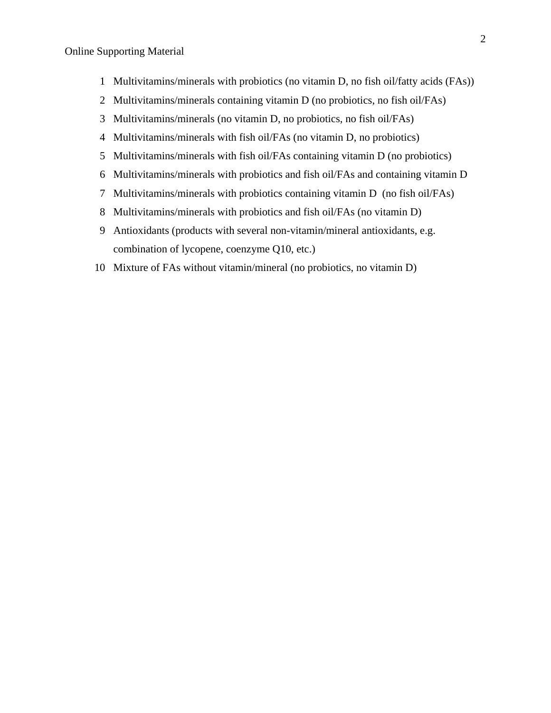- Multivitamins/minerals with probiotics (no vitamin D, no fish oil/fatty acids (FAs))
- Multivitamins/minerals containing vitamin D (no probiotics, no fish oil/FAs)
- Multivitamins/minerals (no vitamin D, no probiotics, no fish oil/FAs)
- Multivitamins/minerals with fish oil/FAs (no vitamin D, no probiotics)
- Multivitamins/minerals with fish oil/FAs containing vitamin D (no probiotics)
- Multivitamins/minerals with probiotics and fish oil/FAs and containing vitamin D
- Multivitamins/minerals with probiotics containing vitamin D (no fish oil/FAs)
- Multivitamins/minerals with probiotics and fish oil/FAs (no vitamin D)
- Antioxidants (products with several non-vitamin/mineral antioxidants, e.g. combination of lycopene, coenzyme Q10, etc.)
- Mixture of FAs without vitamin/mineral (no probiotics, no vitamin D)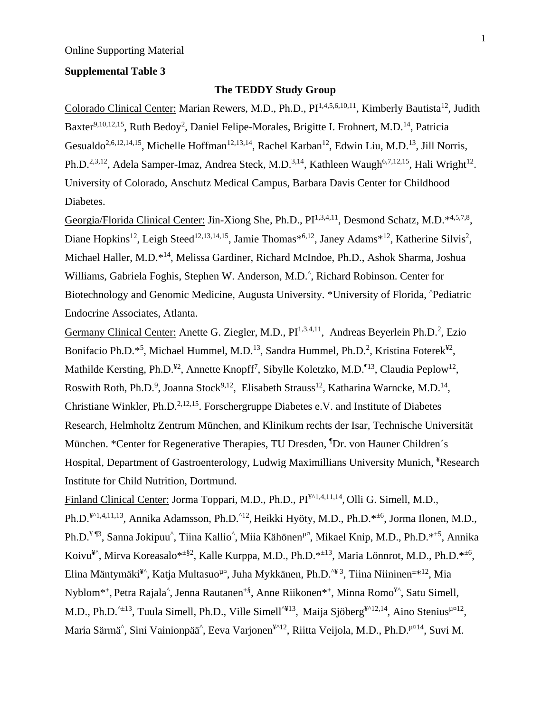## **Supplemental Table 3**

## **The TEDDY Study Group**

Colorado Clinical Center: Marian Rewers, M.D., Ph.D., PI<sup>1,4,5,6,10,11</sup>, Kimberly Bautista<sup>12</sup>, Judith Baxter<sup>9,10,12,15</sup>, Ruth Bedoy<sup>2</sup>, Daniel Felipe-Morales, Brigitte I. Frohnert, M.D.<sup>14</sup>, Patricia Gesualdo<sup>2,6,12,14,15</sup>, Michelle Hoffman<sup>12,13,14</sup>, Rachel Karban<sup>12</sup>, Edwin Liu, M.D.<sup>13</sup>, Jill Norris, Ph.D.<sup>2,3,12</sup>, Adela Samper-Imaz, Andrea Steck, M.D.<sup>3,14</sup>, Kathleen Waugh<sup>6,7,12,15</sup>, Hali Wright<sup>12</sup>. University of Colorado, Anschutz Medical Campus, Barbara Davis Center for Childhood Diabetes.

Georgia/Florida Clinical Center: Jin-Xiong She, Ph.D., PI<sup>1,3,4,11</sup>, Desmond Schatz, M.D.\*<sup>4,5,7,8</sup>, Diane Hopkins<sup>12</sup>, Leigh Steed<sup>12,13,14,15</sup>, Jamie Thomas<sup>\*6,12</sup>, Janey Adams<sup>\*12</sup>, Katherine Silvis<sup>2</sup>, Michael Haller, M.D.\*14, Melissa Gardiner, Richard McIndoe, Ph.D., Ashok Sharma, Joshua Williams, Gabriela Foghis, Stephen W. Anderson, M.D.^ , Richard Robinson. Center for Biotechnology and Genomic Medicine, Augusta University. \*University of Florida, ^ Pediatric Endocrine Associates, Atlanta.

Germany Clinical Center: Anette G. Ziegler, M.D., PI<sup>1,3,4,11</sup>, Andreas Beyerlein Ph.D.<sup>2</sup>, Ezio Bonifacio Ph.D.<sup>\*5</sup>, Michael Hummel, M.D.<sup>13</sup>, Sandra Hummel, Ph.D.<sup>2</sup>, Kristina Foterek<sup>¥2</sup>, Mathilde Kersting, Ph.D.<sup>¥2</sup>, Annette Knopff<sup>7</sup>, Sibylle Koletzko, M.D.<sup>¶13</sup>, Claudia Peplow<sup>12</sup>, Roswith Roth, Ph.D.<sup>9</sup>, Joanna Stock<sup>9,12</sup>, Elisabeth Strauss<sup>12</sup>, Katharina Warncke, M.D.<sup>14</sup>, Christiane Winkler, Ph.D.<sup>2,12,15</sup>. Forschergruppe Diabetes e.V. and Institute of Diabetes Research, Helmholtz Zentrum München, and Klinikum rechts der Isar, Technische Universität München. \*Center for Regenerative Therapies, TU Dresden, ¶ Dr. von Hauner Children´s Hospital, Department of Gastroenterology, Ludwig Maximillians University Munich, <sup>¥</sup>Research Institute for Child Nutrition, Dortmund.

Finland Clinical Center: Jorma Toppari, M.D., Ph.D., PI<sup>¥^1,4,11,14</sup>, Olli G. Simell, M.D., Ph.D.<sup>¥^1,4,11,13</sup>, Annika Adamsson, Ph.D.<sup>^12</sup>, Heikki Hyöty, M.D., Ph.D.<sup>\*±6</sup>, Jorma Ilonen, M.D., Ph.D.<sup>¥¶3</sup>, Sanna Jokipuu<sup>^</sup>, Tiina Kallio<sup>^</sup>, Miia Kähönen<sup>µ¤</sup>, Mikael Knip, M.D., Ph.D.<sup>\*±5</sup>, Annika Koivu<sup>¥^</sup>, Mirva Koreasalo<sup>\*±§2</sup>, Kalle Kurppa, M.D., Ph.D.<sup>\*±13</sup>, Maria Lönnrot, M.D., Ph.D.<sup>\*±6</sup>, Elina Mäntymäki<sup>¥^</sup>, Katja Multasuo<sup>µ¤</sup>, Juha Mykkänen, Ph.D.<sup>^¥ 3</sup>, Tiina Niininen<sup>±\*12</sup>, Mia Nyblom<sup>\*±</sup>, Petra Rajala<sup>^</sup>, Jenna Rautanen<sup>+§</sup>, Anne Riikonen<sup>\*±</sup>, Minna Romo<sup>¥^</sup>, Satu Simell, M.D., Ph.D.<sup>^±13</sup>, Tuula Simell, Ph.D., Ville Simell<sup>^¥13</sup>, Maija Sjöberg<sup>¥^12,14</sup>, Aino Stenius<sup>µ¤12</sup>, Maria Särmä<sup>^</sup>, Sini Vainionpää^, Eeva Varjonen<sup>¥^12</sup>, Riitta Veijola, M.D., Ph.D.<sup>µ¤14</sup>, Suvi M.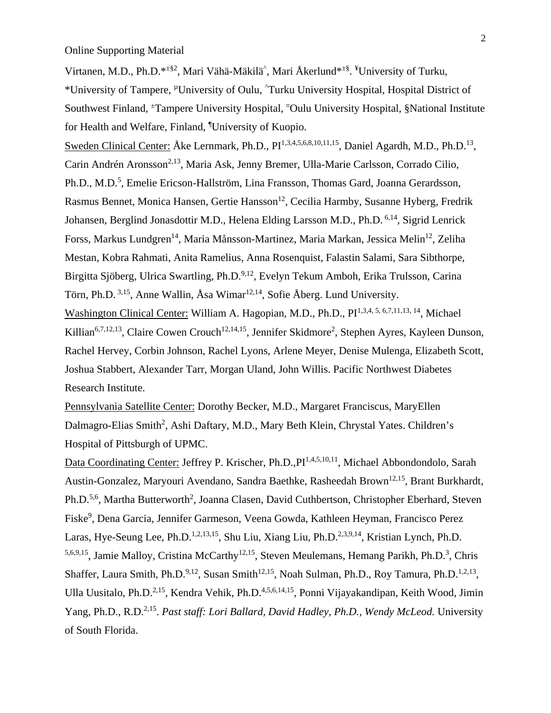Virtanen, M.D., Ph.D.<sup>\*\*§2</sup>, Mari Vähä-Mäkilä<sup>^</sup>, Mari Åkerlund<sup>\*\*§</sup>. <sup>¥</sup>University of Turku, \*University of Tampere, <sup>µ</sup>University of Oulu, <sup>^</sup>Turku University Hospital, Hospital District of Southwest Finland, <sup>±</sup>Tampere University Hospital, <sup>¤</sup>Oulu University Hospital, §National Institute for Health and Welfare, Finland, ¶ University of Kuopio.

Sweden Clinical Center: Åke Lernmark, Ph.D., PI<sup>1,3,4,5,6,8,10,11,15</sup>, Daniel Agardh, M.D., Ph.D.<sup>13</sup>, Carin Andrén Aronsson<sup>2,13</sup>, Maria Ask, Jenny Bremer, Ulla-Marie Carlsson, Corrado Cilio, Ph.D., M.D.<sup>5</sup>, Emelie Ericson-Hallström, Lina Fransson, Thomas Gard, Joanna Gerardsson, Rasmus Bennet, Monica Hansen, Gertie Hansson<sup>12</sup>, Cecilia Harmby, Susanne Hyberg, Fredrik Johansen, Berglind Jonasdottir M.D., Helena Elding Larsson M.D., Ph.D. 6,14, Sigrid Lenrick Forss, Markus Lundgren<sup>14</sup>, Maria Månsson-Martinez, Maria Markan, Jessica Melin<sup>12</sup>, Zeliha Mestan, Kobra Rahmati, Anita Ramelius, Anna Rosenquist, Falastin Salami, Sara Sibthorpe, Birgitta Sjöberg, Ulrica Swartling, Ph.D.9,12, Evelyn Tekum Amboh, Erika Trulsson, Carina Törn, Ph.D. <sup>3,15</sup>, Anne Wallin, Åsa Wimar<sup>12,14</sup>, Sofie Åberg. Lund University. Washington Clinical Center: William A. Hagopian, M.D., Ph.D., PI<sup>1,3,4, 5, 6,7,11,13, 14</sup>, Michael

Killian<sup>6,7,12,13</sup>, Claire Cowen Crouch<sup>12,14,15</sup>, Jennifer Skidmore<sup>2</sup>, Stephen Ayres, Kayleen Dunson, Rachel Hervey, Corbin Johnson, Rachel Lyons, Arlene Meyer, Denise Mulenga, Elizabeth Scott, Joshua Stabbert, Alexander Tarr, Morgan Uland, John Willis. Pacific Northwest Diabetes Research Institute.

Pennsylvania Satellite Center: Dorothy Becker, M.D., Margaret Franciscus, MaryEllen Dalmagro-Elias Smith<sup>2</sup>, Ashi Daftary, M.D., Mary Beth Klein, Chrystal Yates. Children's Hospital of Pittsburgh of UPMC.

Data Coordinating Center: Jeffrey P. Krischer, Ph.D., PI<sup>1,4,5,10,11</sup>, Michael Abbondondolo, Sarah Austin-Gonzalez, Maryouri Avendano, Sandra Baethke, Rasheedah Brown<sup>12,15</sup>, Brant Burkhardt, Ph.D.<sup>5,6</sup>, Martha Butterworth<sup>2</sup>, Joanna Clasen, David Cuthbertson, Christopher Eberhard, Steven Fiske<sup>9</sup>, Dena Garcia, Jennifer Garmeson, Veena Gowda, Kathleen Heyman, Francisco Perez Laras, Hye-Seung Lee, Ph.D.<sup>1,2,13,15</sup>, Shu Liu, Xiang Liu, Ph.D.<sup>2,3,9,14</sup>, Kristian Lynch, Ph.D. <sup>5,6,9,15</sup>, Jamie Malloy, Cristina McCarthy<sup>12,15</sup>, Steven Meulemans, Hemang Parikh, Ph.D.<sup>3</sup>, Chris Shaffer, Laura Smith, Ph.D.<sup>9,12</sup>, Susan Smith<sup>12,15</sup>, Noah Sulman, Ph.D., Roy Tamura, Ph.D.<sup>1,2,13</sup>, Ulla Uusitalo, Ph.D.2,15, Kendra Vehik, Ph.D.4,5,6,14,15, Ponni Vijayakandipan, Keith Wood, Jimin Yang, Ph.D., R.D.<sup>2,15</sup>. *Past staff: Lori Ballard, David Hadley, Ph.D., Wendy McLeod.* University of South Florida.